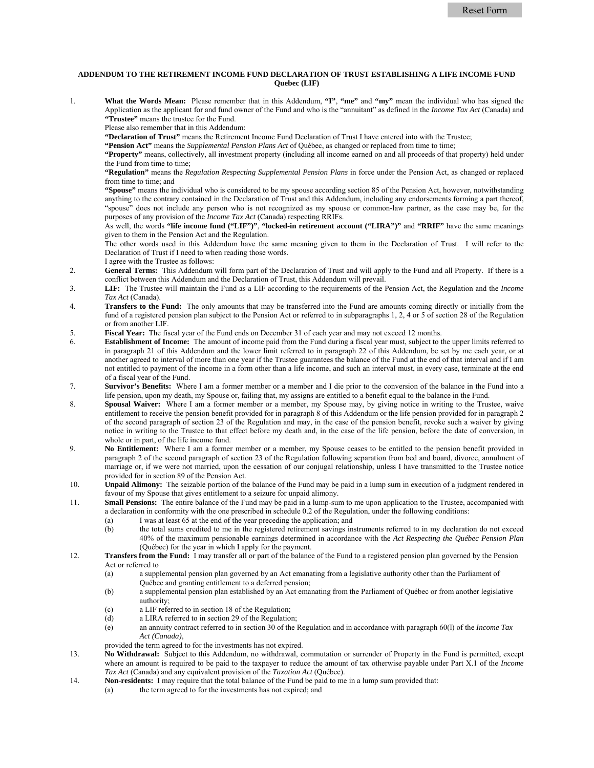## **ADDENDUM TO THE RETIREMENT INCOME FUND DECLARATION OF TRUST ESTABLISHING A LIFE INCOME FUND Quebec (LIF)**

1. **What the Words Mean:** Please remember that in this Addendum, **"I"**, **"me"** and **"my"** mean the individual who has signed the Application as the applicant for and fund owner of the Fund and who is the "annuitant" as defined in the *Income Tax Act* (Canada) and **"Trustee"** means the trustee for the Fund.

Please also remember that in this Addendum:

**"Declaration of Trust"** means the Retirement Income Fund Declaration of Trust I have entered into with the Trustee;

**"Pension Act"** means the *Supplemental Pension Plans Act* of Québec, as changed or replaced from time to time;

**"Property"** means, collectively, all investment property (including all income earned on and all proceeds of that property) held under the Fund from time to time;

**"Regulation"** means the *Regulation Respecting Supplemental Pension Plans* in force under the Pension Act, as changed or replaced from time to time; and

**"Spouse"** means the individual who is considered to be my spouse according section 85 of the Pension Act, however, notwithstanding anything to the contrary contained in the Declaration of Trust and this Addendum, including any endorsements forming a part thereof, "spouse" does not include any person who is not recognized as my spouse or common-law partner, as the case may be, for the purposes of any provision of the *Income Tax Act* (Canada) respecting RRIFs.

As well, the words **"life income fund ("LIF")"**, **"locked-in retirement account ("LIRA")"** and **"RRIF"** have the same meanings given to them in the Pension Act and the Regulation.

The other words used in this Addendum have the same meaning given to them in the Declaration of Trust. I will refer to the Declaration of Trust if I need to when reading those words. I agree with the Trustee as follows:

- 2. **General Terms:** This Addendum will form part of the Declaration of Trust and will apply to the Fund and all Property. If there is a conflict between this Addendum and the Declaration of Trust, this Addendum will prevail.
- 3. **LIF:** The Trustee will maintain the Fund as a LIF according to the requirements of the Pension Act, the Regulation and the *Income Tax Act* (Canada).
- 4. **Transfers to the Fund:** The only amounts that may be transferred into the Fund are amounts coming directly or initially from the fund of a registered pension plan subject to the Pension Act or referred to in subparagraphs 1, 2, 4 or 5 of section 28 of the Regulation or from another LIF.
- 5. **Fiscal Year:** The fiscal year of the Fund ends on December 31 of each year and may not exceed 12 months.
- 6. **Establishment of Income:** The amount of income paid from the Fund during a fiscal year must, subject to the upper limits referred to in paragraph 21 of this Addendum and the lower limit referred to in paragraph 22 of this Addendum, be set by me each year, or at another agreed to interval of more than one year if the Trustee guarantees the balance of the Fund at the end of that interval and if I am not entitled to payment of the income in a form other than a life income, and such an interval must, in every case, terminate at the end of a fiscal year of the Fund.
- 7. **Survivor's Benefits:** Where I am a former member or a member and I die prior to the conversion of the balance in the Fund into a life pension, upon my death, my Spouse or, failing that, my assigns are entitled to a benefit equal to the balance in the Fund.
- 8. **Spousal Waiver:** Where I am a former member or a member, my Spouse may, by giving notice in writing to the Trustee, waive entitlement to receive the pension benefit provided for in paragraph 8 of this Addendum or the life pension provided for in paragraph 2 of the second paragraph of section 23 of the Regulation and may, in the case of the pension benefit, revoke such a waiver by giving notice in writing to the Trustee to that effect before my death and, in the case of the life pension, before the date of conversion, in whole or in part, of the life income fund.
- 9. **No Entitlement:** Where I am a former member or a member, my Spouse ceases to be entitled to the pension benefit provided in paragraph 2 of the second paragraph of section 23 of the Regulation following separation from bed and board, divorce, annulment of marriage or, if we were not married, upon the cessation of our conjugal relationship, unless I have transmitted to the Trustee notice provided for in section 89 of the Pension Act.
- 10. **Unpaid Alimony:** The seizable portion of the balance of the Fund may be paid in a lump sum in execution of a judgment rendered in favour of my Spouse that gives entitlement to a seizure for unpaid alimony.
- 11. **Small Pensions:** The entire balance of the Fund may be paid in a lump-sum to me upon application to the Trustee, accompanied with a declaration in conformity with the one prescribed in schedule 0.2 of the Regulation, under the following conditions:
	- (a) I was at least 65 at the end of the year preceding the application; and
	- (b) the total sums credited to me in the registered retirement savings instruments referred to in my declaration do not exceed 40% of the maximum pensionable earnings determined in accordance with the *Act Respecting the Québec Pension Plan*  (Québec) for the year in which I apply for the payment.
- 12. **Transfers from the Fund:** I may transfer all or part of the balance of the Fund to a registered pension plan governed by the Pension Act or referred to
	- (a) a supplemental pension plan governed by an Act emanating from a legislative authority other than the Parliament of Québec and granting entitlement to a deferred pension;
	- (b) a supplemental pension plan established by an Act emanating from the Parliament of Québec or from another legislative authority;
	- (c) a LIF referred to in section 18 of the Regulation;
	- (d) a LIRA referred to in section 29 of the Regulation;
	- (e) an annuity contract referred to in section 30 of the Regulation and in accordance with paragraph 60(l) of the *Income Tax Act (Canada)*,
	- provided the term agreed to for the investments has not expired.
- 13. **No Withdrawal:** Subject to this Addendum, no withdrawal, commutation or surrender of Property in the Fund is permitted, except where an amount is required to be paid to the taxpayer to reduce the amount of tax otherwise payable under Part X.1 of the *Income Tax Act* (Canada) and any equivalent provision of the *Taxation Act* (Québec).
- 14. **Non-residents:** I may require that the total balance of the Fund be paid to me in a lump sum provided that:
	- (a) the term agreed to for the investments has not expired; and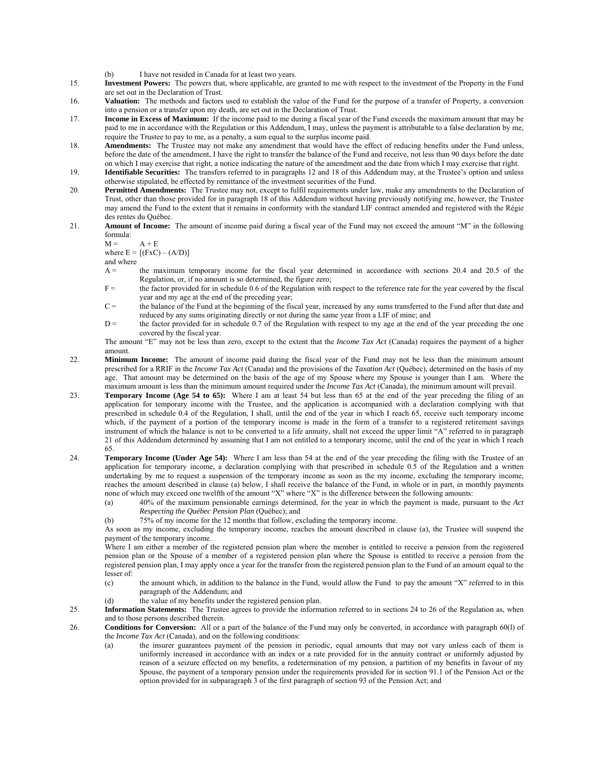- (b) I have not resided in Canada for at least two years.
- 15. **Investment Powers:** The powers that, where applicable, are granted to me with respect to the investment of the Property in the Fund are set out in the Declaration of Trust.
- 16. **Valuation:** The methods and factors used to establish the value of the Fund for the purpose of a transfer of Property, a conversion into a pension or a transfer upon my death, are set out in the Declaration of Trust.
- 17. **Income in Excess of Maximum:** If the income paid to me during a fiscal year of the Fund exceeds the maximum amount that may be paid to me in accordance with the Regulation or this Addendum, I may, unless the payment is attributable to a false declaration by me, require the Trustee to pay to me, as a penalty, a sum equal to the surplus income paid.
- 18. **Amendments:** The Trustee may not make any amendment that would have the effect of reducing benefits under the Fund unless, before the date of the amendment, I have the right to transfer the balance of the Fund and receive, not less than 90 days before the date on which I may exercise that right, a notice indicating the nature of the amendment and the date from which I may exercise that right.
- 19. **Identifiable Securities:** The transfers referred to in paragraphs 12 and 18 of this Addendum may, at the Trustee's option and unless otherwise stipulated, be effected by remittance of the investment securities of the Fund.
- 20. **Permitted Amendments:** The Trustee may not, except to fulfil requirements under law, make any amendments to the Declaration of Trust, other than those provided for in paragraph 18 of this Addendum without having previously notifying me, however, the Trustee may amend the Fund to the extent that it remains in conformity with the standard LIF contract amended and registered with the Régie des rentes du Québec.
- 21. **Amount of Income:** The amount of income paid during a fiscal year of the Fund may not exceed the amount "M" in the following formula:

 $M = A + E$ where  $E = [(FxC) - (A/D)]$ 

and where

- A = the maximum temporary income for the fiscal year determined in accordance with sections 20.4 and 20.5 of the Regulation, or, if no amount is so determined, the figure zero;
- F = the factor provided for in schedule 0.6 of the Regulation with respect to the reference rate for the year covered by the fiscal year and my age at the end of the preceding year;
- $C =$  the balance of the Fund at the beginning of the fiscal year, increased by any sums transferred to the Fund after that date and reduced by any sums originating directly or not during the same year from a LIF of mine; and
- $D =$  the factor provided for in schedule 0.7 of the Regulation with respect to my age at the end of the year preceding the one covered by the fiscal year.

The amount "E" may not be less than zero, except to the extent that the *Income Tax Act* (Canada) requires the payment of a higher amount.

- 22. **Minimum Income:** The amount of income paid during the fiscal year of the Fund may not be less than the minimum amount prescribed for a RRIF in the *Income Tax Act* (Canada) and the provisions of the *Taxation Act* (Québec), determined on the basis of my age. That amount may be determined on the basis of the age of my Spouse where my Spouse is younger than I am. Where the maximum amount is less than the minimum amount required under the *Income Tax Act* (Canada), the minimum amount will prevail.
- 23. **Temporary Income (Age 54 to 65):** Where I am at least 54 but less than 65 at the end of the year preceding the filing of an application for temporary income with the Trustee, and the application is accompanied with a declaration complying with that prescribed in schedule 0.4 of the Regulation, I shall, until the end of the year in which I reach 65, receive such temporary income which, if the payment of a portion of the temporary income is made in the form of a transfer to a registered retirement savings instrument of which the balance is not to be converted to a life annuity, shall not exceed the upper limit "A" referred to in paragraph 21 of this Addendum determined by assuming that I am not entitled to a temporary income, until the end of the year in which I reach 65.
- 24. **Temporary Income (Under Age 54):** Where I am less than 54 at the end of the year preceding the filing with the Trustee of an application for temporary income, a declaration complying with that prescribed in schedule 0.5 of the Regulation and a written undertaking by me to request a suspension of the temporary income as soon as the my income, excluding the temporary income, reaches the amount described in clause (a) below, I shall receive the balance of the Fund, in whole or in part, in monthly payments none of which may exceed one twelfth of the amount "X" where "X" is the difference between the following amounts:
	- (a) 40% of the maximum pensionable earnings determined, for the year in which the payment is made, pursuant to the *Act Respecting the Québec Pension Plan* (Québec); and
	- (b) 75% of my income for the 12 months that follow, excluding the temporary income.

As soon as my income, excluding the temporary income, reaches the amount described in clause (a), the Trustee will suspend the payment of the temporary income.

Where I am either a member of the registered pension plan where the member is entitled to receive a pension from the registered pension plan or the Spouse of a member of a registered pension plan where the Spouse is entitled to receive a pension from the registered pension plan, I may apply once a year for the transfer from the registered pension plan to the Fund of an amount equal to the lesser of:

- (c) the amount which, in addition to the balance in the Fund, would allow the Fund to pay the amount "X" referred to in this paragraph of the Addendum; and
- (d) the value of my benefits under the registered pension plan.

25. **Information Statements:** The Trustee agrees to provide the information referred to in sections 24 to 26 of the Regulation as, when and to those persons described therein.

- 26. **Conditions for Conversion:** All or a part of the balance of the Fund may only be converted, in accordance with paragraph 60(l) of the *Income Tax Act* (Canada), and on the following conditions:
	- (a) the insurer guarantees payment of the pension in periodic, equal amounts that may not vary unless each of them is uniformly increased in accordance with an index or a rate provided for in the annuity contract or uniformly adjusted by reason of a seizure effected on my benefits, a redetermination of my pension, a partition of my benefits in favour of my Spouse, the payment of a temporary pension under the requirements provided for in section 91.1 of the Pension Act or the option provided for in subparagraph 3 of the first paragraph of section 93 of the Pension Act; and